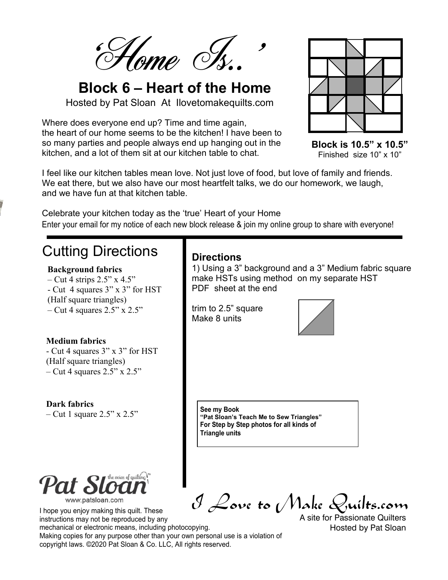Home Is.

# **Block 6 – Heart of the Home**

Hosted by Pat Sloan At Ilovetomakequilts.com

Where does everyone end up? Time and time again, the heart of our home seems to be the kitchen! I have been to so many parties and people always end up hanging out in the kitchen, and a lot of them sit at our kitchen table to chat.



**Block is 10.5" x 10.5"** Finished size 10" x 10"

I feel like our kitchen tables mean love. Not just love of food, but love of family and friends. We eat there, but we also have our most heartfelt talks, we do our homework, we laugh, and we have fun at that kitchen table.

Enter your email for my notice of each new block release & join my online group to share with everyone! Celebrate your kitchen today as the 'true' Heart of your Home

### Cutting Directions

#### **Background fabrics**

 $-$  Cut 4 strips 2.5" x 4.5" - Cut 4 squares 3" x 3" for HST (Half square triangles) – Cut 4 squares  $2.5"$  x  $2.5"$ 

#### **Medium fabrics**

- Cut 4 squares 3" x 3" for HST (Half square triangles)  $-$  Cut 4 squares 2.5" x 2.5"

**Dark fabrics** – Cut 1 square  $2.5$ " x  $2.5$ "



I hope you enjoy making this quilt. These instructions may not be reproduced by any

# I Love to Make Quilts.com

mechanical or electronic means, including photocopying. Making copies for any purpose other than your own personal use is a violation of copyright laws. ©2020 Pat Sloan & Co. LLC, All rights reserved.

A site for Passionate Quilters Hosted by Pat Sloan

#### **Directions**

1) Using a 3" background and a 3" Medium fabric square make HSTs using method on my separate HST PDF sheet at the end

trim to 2.5" square Make 8 units



**See my Book "Pat Sloan's Teach Me to Sew Triangles" For Step by Step photos for all kinds of Triangle units**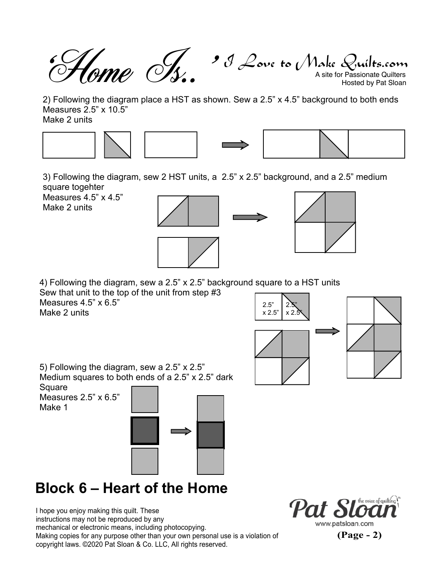$\mathcal J$  Love to Make Quilts.com<br>A site for Passionate Quilters Hosted by Pat Sloan 'Home Is..'

2) Following the diagram place a HST as shown. Sew a 2.5" x 4.5" background to both ends Measures 2.5" x 10.5" Make 2 units









3) Following the diagram, sew 2 HST units, a 2.5" x 2.5" background, and a 2.5" medium square togehter

Measures 4.5" x 4.5" Make 2 units





4) Following the diagram, sew a 2.5" x 2.5" background square to a HST units Sew that unit to the top of the unit from step #3 Measures 4.5" x 6.5"

Make 2 units



5) Following the diagram, sew a 2.5" x 2.5" Medium squares to both ends of a 2.5" x 2.5" dark

**Square** Measures 2.5" x 6.5" Make 1



# **Block 6 – Heart of the Home**

I hope you enjoy making this quilt. These instructions may not be reproduced by any mechanical or electronic means, including photocopying. Making copies for any purpose other than your own personal use is a violation of copyright laws. ©2020 Pat Sloan & Co. LLC, All rights reserved.



**(Page - 2)**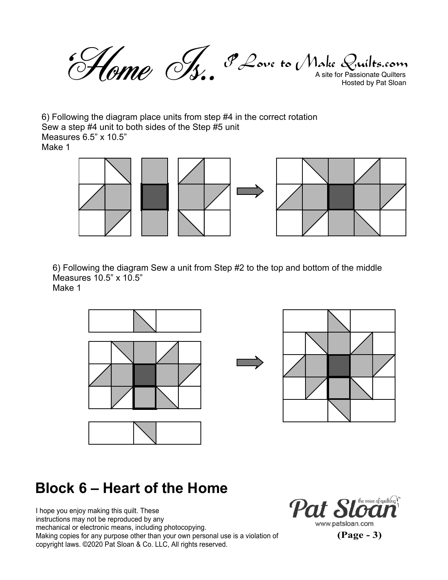$\mathscr{F}\mathscr{L}$ ove to (Make Quilts.com<br>A site for Passionate Quilters Hosted by Pat Sloan 'Home Is..'

6) Following the diagram place units from step #4 in the correct rotation Sew a step #4 unit to both sides of the Step #5 unit Measures 6.5" x 10.5" Make 1



6) Following the diagram Sew a unit from Step #2 to the top and bottom of the middle Measures 10.5" x 10.5"

Make 1



### **Block 6 – Heart of the Home**

I hope you enjoy making this quilt. These instructions may not be reproduced by any mechanical or electronic means, including photocopying. Making copies for any purpose other than your own personal use is a violation of copyright laws. ©2020 Pat Sloan & Co. LLC, All rights reserved.



**(Page - 3)**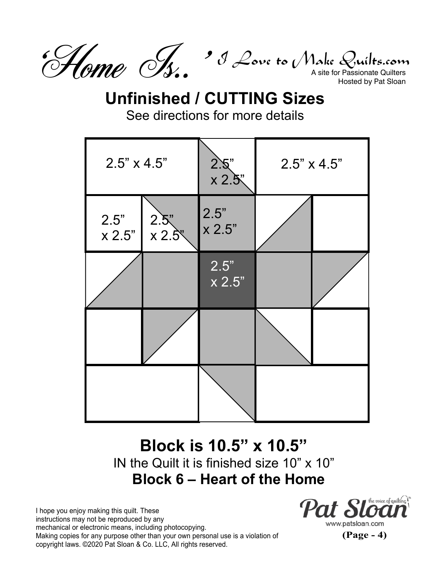

# **Unfinished / CUTTING Sizes**

See directions for more details



#### **Block is 10.5" x 10.5"** IN the Quilt it is finished size 10" x 10" **Block 6 – Heart of the Home**

I hope you enjoy making this quilt. These instructions may not be reproduced by any mechanical or electronic means, including photocopying. Making copies for any purpose other than your own personal use is a violation of copyright laws. ©2020 Pat Sloan & Co. LLC, All rights reserved.



www.patsloan.com

**(Page - 4)**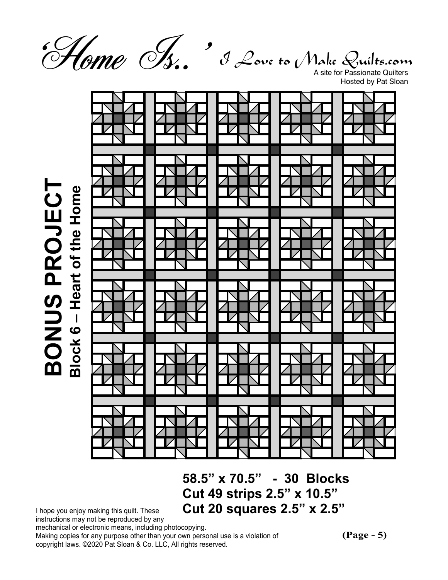

**BONUS PROJECT**

I Love to Make Quilts.com

A site for Passionate Quilters Hosted by Pat Sloan



**58.5" x 70.5" - 30 Blocks Cut 49 strips 2.5" x 10.5" Cut 20 squares 2.5" x 2.5"**

I hope you enjoy making this quilt. These instructions may not be reproduced by any

mechanical or electronic means, including photocopying.

Making copies for any purpose other than your own personal use is a violation of copyright laws. ©2020 Pat Sloan & Co. LLC, All rights reserved.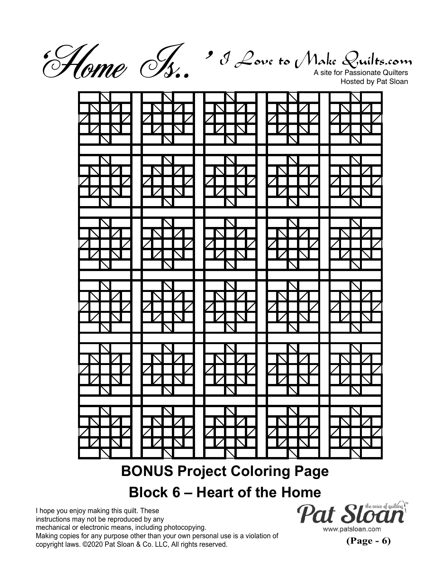'Home Is..'

 $\mathcal J$  Love to Make Quilts.com<br>A site for Passionate Quilters

Hosted by Pat Sloan



## **BONUS Project Coloring Page**

#### **Block 6 – Heart of the Home**

I hope you enjoy making this quilt. These instructions may not be reproduced by any mechanical or electronic means, including photocopying. Making copies for any purpose other than your own personal use is a violation of copyright laws. ©2020 Pat Sloan & Co. LLC, All rights reserved.

 $\bm{r}$  the voice of quilting  $\bm{r}$ Pat Sli www.patsloan.com

**(Page - 6)**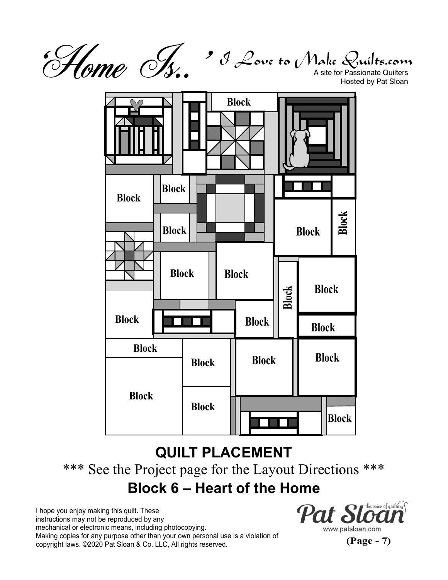$\mathcal J$  Love to Make Quilts.com<br>A site for Passionate Quilters 'Home Is..'

Hosted by Pat Sloan



## **QUILT PLACEMENT** \*\*\* See the Project page for the Layout Directions \*\*\* **Block 6 – Heart of the Home**

I hope you enjoy making this quilt. These instructions may not be reproduced by any mechanical or electronic means, including photocopying. Making copies for any purpose other than your own personal use is a violation of copyright laws. ©2020 Pat Sloan & Co. LLC, All rights reserved.



**(Page - 7)**